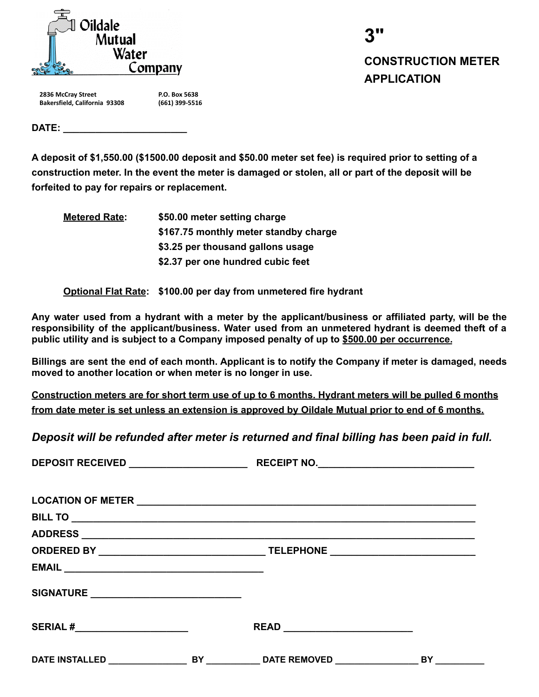

| 3"                        |
|---------------------------|
| <b>CONSTRUCTION METER</b> |
| <b>APPLICATION</b>        |

**2836 McCray Street Bakersfield, California 93308** **P.O. Box 5638 (661) 399-5516**

**DATE: \_\_\_\_\_\_\_\_\_\_\_\_\_\_\_\_\_\_\_\_\_\_\_**

**A deposit of \$1,550.00 (\$1500.00 deposit and \$50.00 meter set fee) is required prior to setting of a construction meter. In the event the meter is damaged or stolen, all or part of the deposit will be forfeited to pay for repairs or replacement.**

**Metered Rate: \$50.00 meter setting charge \$167.75 monthly meter standby charge \$3.25 per thousand gallons usage \$2.37 per one hundred cubic feet**

**Optional Flat Rate: \$100.00 per day from unmetered fire hydrant**

**Any water used from a hydrant with a meter by the applicant/business or affiliated party, will be the responsibility of the applicant/business. Water used from an unmetered hydrant is deemed theft of a public utility and is subject to a Company imposed penalty of up to \$500.00 per occurrence.**

**Billings are sent the end of each month. Applicant is to notify the Company if meter is damaged, needs moved to another location or when meter is no longer in use.**

**Construction meters are for short term use of up to 6 months. Hydrant meters will be pulled 6 months from date meter is set unless an extension is approved by Oildale Mutual prior to end of 6 months.**

*Deposit will be refunded after meter is returned and final billing has been paid in full.*

| SIGNATURE _____________________________ |  |
|-----------------------------------------|--|
|                                         |  |
|                                         |  |